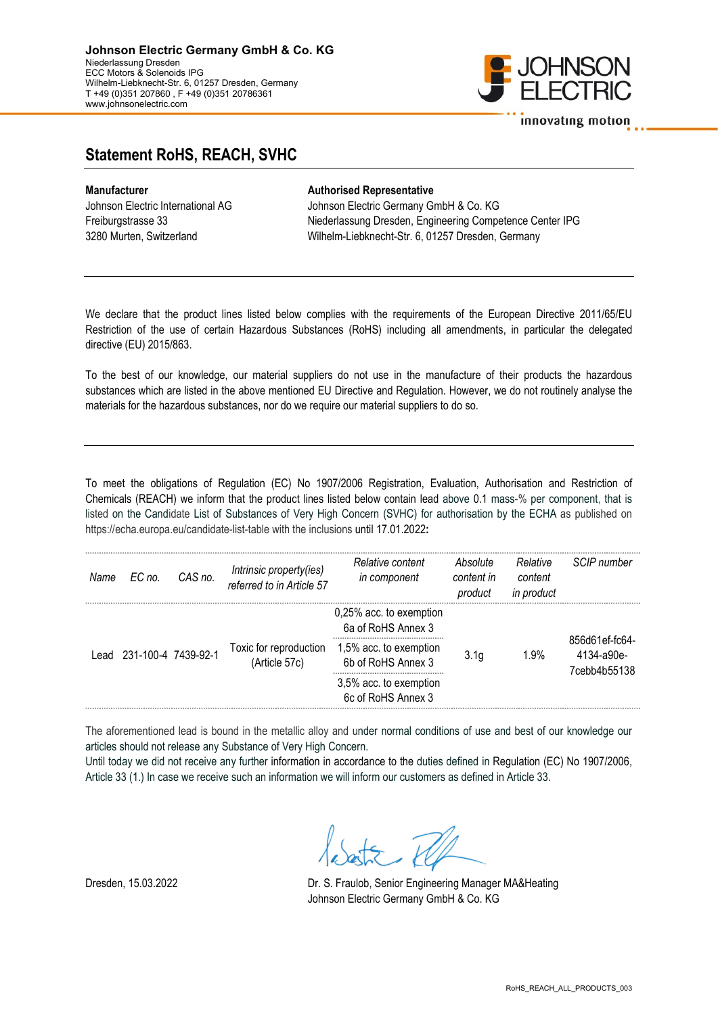

## Statement RoHS, REACH, SVHC

## Manufacturer **Authorised Representative**

Johnson Electric International AG Johnson Electric Germany GmbH & Co. KG Freiburgstrasse 33 Niederlassung Dresden, Engineering Competence Center IPG 3280 Murten, Switzerland Wilhelm-Liebknecht-Str. 6, 01257 Dresden, Germany

We declare that the product lines listed below complies with the requirements of the European Directive 2011/65/EU Restriction of the use of certain Hazardous Substances (RoHS) including all amendments, in particular the delegated directive (EU) 2015/863.

To the best of our knowledge, our material suppliers do not use in the manufacture of their products the hazardous substances which are listed in the above mentioned EU Directive and Regulation. However, we do not routinely analyse the materials for the hazardous substances, nor do we require our material suppliers to do so.

To meet the obligations of Regulation (EC) No 1907/2006 Registration, Evaluation, Authorisation and Restriction of Chemicals (REACH) we inform that the product lines listed below contain lead above 0.1 mass-% per component, that is listed on the Candidate List of Substances of Very High Concern (SVHC) for authorisation by the ECHA as published on https://echa.europa.eu/candidate-list-table with the inclusions until 17.01.2022:

| Name   | EC no.              | CAS no. | Intrinsic property(ies)<br>referred to in Article 57 | Relative content<br>in component              | Absolute<br>content in<br>product | Relative<br>content<br>in product | SCIP number                                  |
|--------|---------------------|---------|------------------------------------------------------|-----------------------------------------------|-----------------------------------|-----------------------------------|----------------------------------------------|
| l ead. | 231-100-4 7439-92-1 |         | Toxic for reproduction<br>(Article 57c)              | 0,25% acc. to exemption<br>6a of RoHS Annex 3 | 3.1 <sub>q</sub>                  | 1.9%                              | 856d61ef-fc64-<br>4134-a90e-<br>7cebb4b55138 |
|        |                     |         |                                                      | 1,5% acc. to exemption<br>6b of RoHS Annex 3  |                                   |                                   |                                              |
|        |                     |         |                                                      | 3,5% acc. to exemption<br>6c of RoHS Annex 3  |                                   |                                   |                                              |

The aforementioned lead is bound in the metallic alloy and under normal conditions of use and best of our knowledge our articles should not release any Substance of Very High Concern.

Until today we did not receive any further information in accordance to the duties defined in Regulation (EC) No 1907/2006, Article 33 (1.) In case we receive such an information we will inform our customers as defined in Article 33.

 $\mathcal{F}$ ,  $\mathcal{W}$ 

Dresden, 15.03.2022 Dr. S. Fraulob, Senior Engineering Manager MA&Heating Johnson Electric Germany GmbH & Co. KG